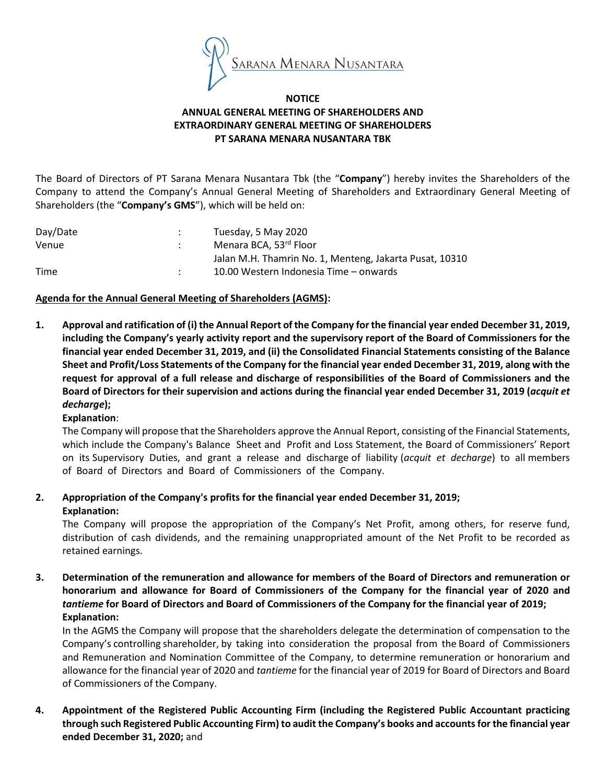

#### **NOTICE** ANNUAL GENERAL MEETING OF SHAREHOLDERS AND EXTRAORDINARY GENERAL MEETING OF SHAREHOLDERS PT SARANA MENARA NUSANTARA TBK

The Board of Directors of PT Sarana Menara Nusantara Tbk (the "Company") hereby invites the Shareholders of the Company to attend the Company's Annual General Meeting of Shareholders and Extraordinary General Meeting of Shareholders (the "Company's GMS"), which will be held on:

| Tuesday, 5 May 2020                                     |
|---------------------------------------------------------|
| Menara BCA, 53rd Floor                                  |
| Jalan M.H. Thamrin No. 1, Menteng, Jakarta Pusat, 10310 |
| 10.00 Western Indonesia Time – onwards                  |
|                                                         |

#### Agenda for the Annual General Meeting of Shareholders (AGMS):

1. Approval and ratification of (i) the Annual Report of the Company for the financial year ended December 31, 2019, including the Company's yearly activity report and the supervisory report of the Board of Commissioners for the financial year ended December 31, 2019, and (ii) the Consolidated Financial Statements consisting of the Balance Sheet and Profit/Loss Statements of the Company for the financial year ended December 31, 2019, along with the request for approval of a full release and discharge of responsibilities of the Board of Commissioners and the Board of Directors for their supervision and actions during the financial year ended December 31, 2019 (acquit et decharge);

#### Explanation:

The Company will propose that the Shareholders approve the Annual Report, consisting of the Financial Statements, which include the Company's Balance Sheet and Profit and Loss Statement, the Board of Commissioners' Report on its Supervisory Duties, and grant a release and discharge of liability (acquit et decharge) to all members of Board of Directors and Board of Commissioners of the Company.

## 2. Appropriation of the Company's profits for the financial year ended December 31, 2019; Explanation:

The Company will propose the appropriation of the Company's Net Profit, among others, for reserve fund, distribution of cash dividends, and the remaining unappropriated amount of the Net Profit to be recorded as retained earnings.

3. Determination of the remuneration and allowance for members of the Board of Directors and remuneration or honorarium and allowance for Board of Commissioners of the Company for the financial year of 2020 and tantieme for Board of Directors and Board of Commissioners of the Company for the financial year of 2019; Explanation:

In the AGMS the Company will propose that the shareholders delegate the determination of compensation to the Company's controlling shareholder, by taking into consideration the proposal from the Board of Commissioners and Remuneration and Nomination Committee of the Company, to determine remuneration or honorarium and allowance for the financial year of 2020 and tantieme for the financial year of 2019 for Board of Directors and Board of Commissioners of the Company.

4. Appointment of the Registered Public Accounting Firm (including the Registered Public Accountant practicing through such Registered Public Accounting Firm) to audit the Company's books and accounts for the financial year ended December 31, 2020; and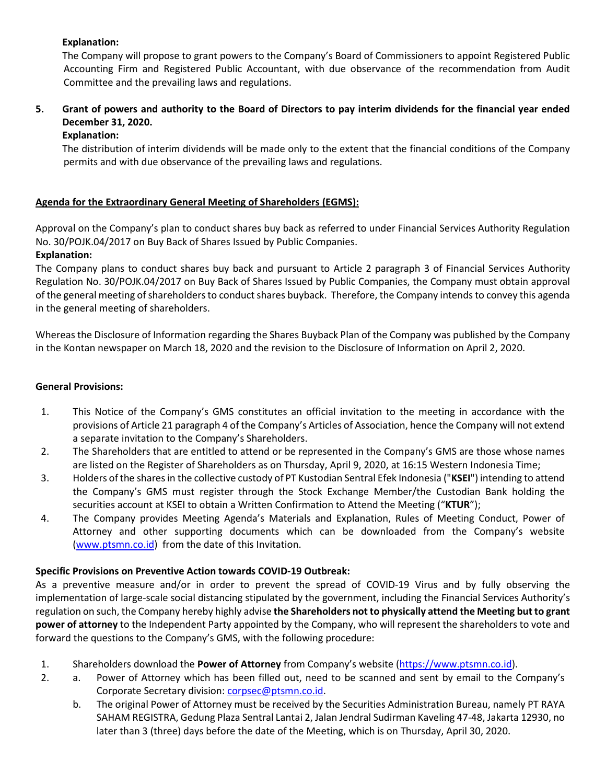# Explanation:

The Company will propose to grant powers to the Company's Board of Commissioners to appoint Registered Public Accounting Firm and Registered Public Accountant, with due observance of the recommendation from Audit Committee and the prevailing laws and regulations.

# 5. Grant of powers and authority to the Board of Directors to pay interim dividends for the financial year ended December 31, 2020.

## Explanation:

The distribution of interim dividends will be made only to the extent that the financial conditions of the Company permits and with due observance of the prevailing laws and regulations.

## Agenda for the Extraordinary General Meeting of Shareholders (EGMS):

Approval on the Company's plan to conduct shares buy back as referred to under Financial Services Authority Regulation No. 30/POJK.04/2017 on Buy Back of Shares Issued by Public Companies.

## Explanation:

The Company plans to conduct shares buy back and pursuant to Article 2 paragraph 3 of Financial Services Authority Regulation No. 30/POJK.04/2017 on Buy Back of Shares Issued by Public Companies, the Company must obtain approval of the general meeting of shareholders to conduct shares buyback. Therefore, the Company intends to convey this agenda in the general meeting of shareholders.

Whereas the Disclosure of Information regarding the Shares Buyback Plan of the Company was published by the Company in the Kontan newspaper on March 18, 2020 and the revision to the Disclosure of Information on April 2, 2020.

#### General Provisions:

- 1. This Notice of the Company's GMS constitutes an official invitation to the meeting in accordance with the provisions of Article 21 paragraph 4 of the Company's Articles of Association, hence the Company will not extend a separate invitation to the Company's Shareholders.
- 2. The Shareholders that are entitled to attend or be represented in the Company's GMS are those whose names are listed on the Register of Shareholders as on Thursday, April 9, 2020, at 16:15 Western Indonesia Time;
- 3. Holders of the shares in the collective custody of PT Kustodian Sentral Efek Indonesia ("KSEI") intending to attend the Company's GMS must register through the Stock Exchange Member/the Custodian Bank holding the securities account at KSEI to obtain a Written Confirmation to Attend the Meeting ("KTUR");
- 4. The Company provides Meeting Agenda's Materials and Explanation, Rules of Meeting Conduct, Power of Attorney and other supporting documents which can be downloaded from the Company's website (www.ptsmn.co.id) from the date of this Invitation.

## Specific Provisions on Preventive Action towards COVID-19 Outbreak:

As a preventive measure and/or in order to prevent the spread of COVID-19 Virus and by fully observing the implementation of large-scale social distancing stipulated by the government, including the Financial Services Authority's regulation on such, the Company hereby highly advise the Shareholders not to physically attend the Meeting but to grant power of attorney to the Independent Party appointed by the Company, who will represent the shareholders to vote and forward the questions to the Company's GMS, with the following procedure:

- 1. Shareholders download the Power of Attorney from Company's website (https://www.ptsmn.co.id).
- 2. a. Power of Attorney which has been filled out, need to be scanned and sent by email to the Company's Corporate Secretary division: corpsec@ptsmn.co.id.
	- b. The original Power of Attorney must be received by the Securities Administration Bureau, namely PT RAYA SAHAM REGISTRA, Gedung Plaza Sentral Lantai 2, Jalan Jendral Sudirman Kaveling 47-48, Jakarta 12930, no later than 3 (three) days before the date of the Meeting, which is on Thursday, April 30, 2020.